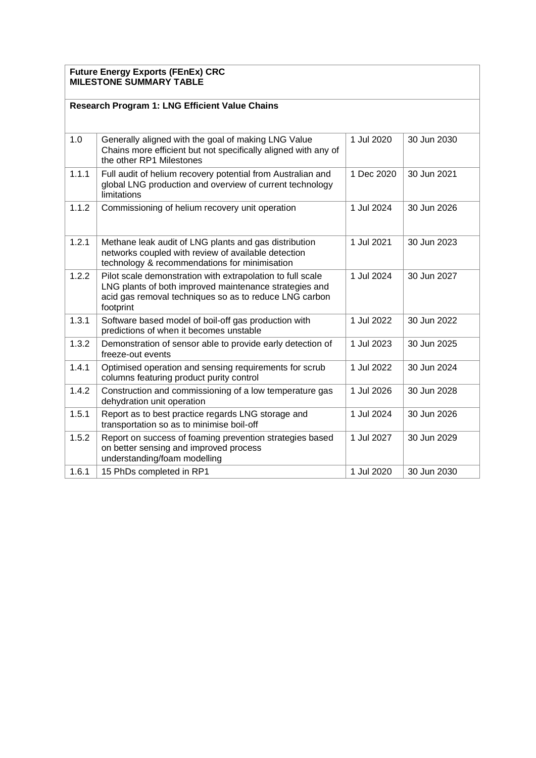## **Future Energy Exports (FEnEx) CRC MILESTONE SUMMARY TABLE**

| <b>Research Program 1: LNG Efficient Value Chains</b> |                                                                                                                                                                                             |            |             |
|-------------------------------------------------------|---------------------------------------------------------------------------------------------------------------------------------------------------------------------------------------------|------------|-------------|
| 1.0                                                   | Generally aligned with the goal of making LNG Value<br>Chains more efficient but not specifically aligned with any of<br>the other RP1 Milestones                                           | 1 Jul 2020 | 30 Jun 2030 |
| 1.1.1                                                 | Full audit of helium recovery potential from Australian and<br>global LNG production and overview of current technology<br>limitations                                                      | 1 Dec 2020 | 30 Jun 2021 |
| 1.1.2                                                 | Commissioning of helium recovery unit operation                                                                                                                                             | 1 Jul 2024 | 30 Jun 2026 |
| 1.2.1                                                 | Methane leak audit of LNG plants and gas distribution<br>networks coupled with review of available detection<br>technology & recommendations for minimisation                               | 1 Jul 2021 | 30 Jun 2023 |
| 1.2.2                                                 | Pilot scale demonstration with extrapolation to full scale<br>LNG plants of both improved maintenance strategies and<br>acid gas removal techniques so as to reduce LNG carbon<br>footprint | 1 Jul 2024 | 30 Jun 2027 |
| 1.3.1                                                 | Software based model of boil-off gas production with<br>predictions of when it becomes unstable                                                                                             | 1 Jul 2022 | 30 Jun 2022 |
| 1.3.2                                                 | Demonstration of sensor able to provide early detection of<br>freeze-out events                                                                                                             | 1 Jul 2023 | 30 Jun 2025 |
| 1.4.1                                                 | Optimised operation and sensing requirements for scrub<br>columns featuring product purity control                                                                                          | 1 Jul 2022 | 30 Jun 2024 |
| 1.4.2                                                 | Construction and commissioning of a low temperature gas<br>dehydration unit operation                                                                                                       | 1 Jul 2026 | 30 Jun 2028 |
| 1.5.1                                                 | Report as to best practice regards LNG storage and<br>transportation so as to minimise boil-off                                                                                             | 1 Jul 2024 | 30 Jun 2026 |
| 1.5.2                                                 | Report on success of foaming prevention strategies based<br>on better sensing and improved process<br>understanding/foam modelling                                                          | 1 Jul 2027 | 30 Jun 2029 |
| 1.6.1                                                 | 15 PhDs completed in RP1                                                                                                                                                                    | 1 Jul 2020 | 30 Jun 2030 |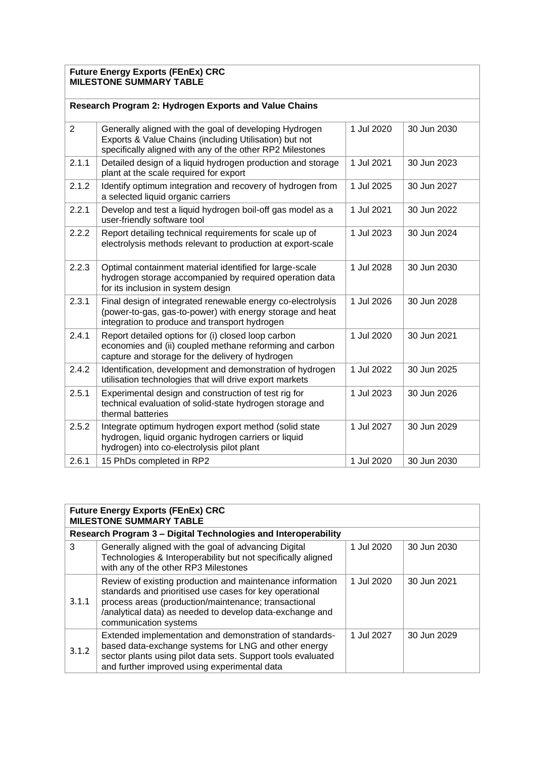## **Future Energy Exports (FEnEx) CRC MILESTONE SUMMARY TABLE**

| Research Program 2: Hydrogen Exports and Value Chains |                                                                                                                                                                               |            |             |
|-------------------------------------------------------|-------------------------------------------------------------------------------------------------------------------------------------------------------------------------------|------------|-------------|
| $\overline{2}$                                        | Generally aligned with the goal of developing Hydrogen<br>Exports & Value Chains (including Utilisation) but not<br>specifically aligned with any of the other RP2 Milestones | 1 Jul 2020 | 30 Jun 2030 |
| 2.1.1                                                 | Detailed design of a liquid hydrogen production and storage<br>plant at the scale required for export                                                                         | 1 Jul 2021 | 30 Jun 2023 |
| 2.1.2                                                 | Identify optimum integration and recovery of hydrogen from<br>a selected liquid organic carriers                                                                              | 1 Jul 2025 | 30 Jun 2027 |
| 2.2.1                                                 | Develop and test a liquid hydrogen boil-off gas model as a<br>user-friendly software tool                                                                                     | 1 Jul 2021 | 30 Jun 2022 |
| 2.2.2                                                 | Report detailing technical requirements for scale up of<br>electrolysis methods relevant to production at export-scale                                                        | 1 Jul 2023 | 30 Jun 2024 |
| 2.2.3                                                 | Optimal containment material identified for large-scale<br>hydrogen storage accompanied by required operation data<br>for its inclusion in system design                      | 1 Jul 2028 | 30 Jun 2030 |
| 2.3.1                                                 | Final design of integrated renewable energy co-electrolysis<br>(power-to-gas, gas-to-power) with energy storage and heat<br>integration to produce and transport hydrogen     | 1 Jul 2026 | 30 Jun 2028 |
| 2.4.1                                                 | Report detailed options for (i) closed loop carbon<br>economies and (ii) coupled methane reforming and carbon<br>capture and storage for the delivery of hydrogen             | 1 Jul 2020 | 30 Jun 2021 |
| 2.4.2                                                 | Identification, development and demonstration of hydrogen<br>utilisation technologies that will drive export markets                                                          | 1 Jul 2022 | 30 Jun 2025 |
| 2.5.1                                                 | Experimental design and construction of test rig for<br>technical evaluation of solid-state hydrogen storage and<br>thermal batteries                                         | 1 Jul 2023 | 30 Jun 2026 |
| 2.5.2                                                 | Integrate optimum hydrogen export method (solid state<br>hydrogen, liquid organic hydrogen carriers or liquid<br>hydrogen) into co-electrolysis pilot plant                   | 1 Jul 2027 | 30 Jun 2029 |
| 2.6.1                                                 | 15 PhDs completed in RP2                                                                                                                                                      | 1 Jul 2020 | 30 Jun 2030 |

| <b>Future Energy Exports (FEnEx) CRC</b><br><b>MILESTONE SUMMARY TABLE</b> |                                                                                                                                                                                                                                                                   |            |             |
|----------------------------------------------------------------------------|-------------------------------------------------------------------------------------------------------------------------------------------------------------------------------------------------------------------------------------------------------------------|------------|-------------|
| Research Program 3 - Digital Technologies and Interoperability             |                                                                                                                                                                                                                                                                   |            |             |
| 3                                                                          | Generally aligned with the goal of advancing Digital<br>Technologies & Interoperability but not specifically aligned<br>with any of the other RP3 Milestones                                                                                                      | 1 Jul 2020 | 30 Jun 2030 |
| 3.1.1                                                                      | Review of existing production and maintenance information<br>standards and prioritised use cases for key operational<br>process areas (production/maintenance; transactional<br>/analytical data) as needed to develop data-exchange and<br>communication systems | 1 Jul 2020 | 30 Jun 2021 |
| 3.1.2                                                                      | Extended implementation and demonstration of standards-<br>based data-exchange systems for LNG and other energy<br>sector plants using pilot data sets. Support tools evaluated<br>and further improved using experimental data                                   | 1 Jul 2027 | 30 Jun 2029 |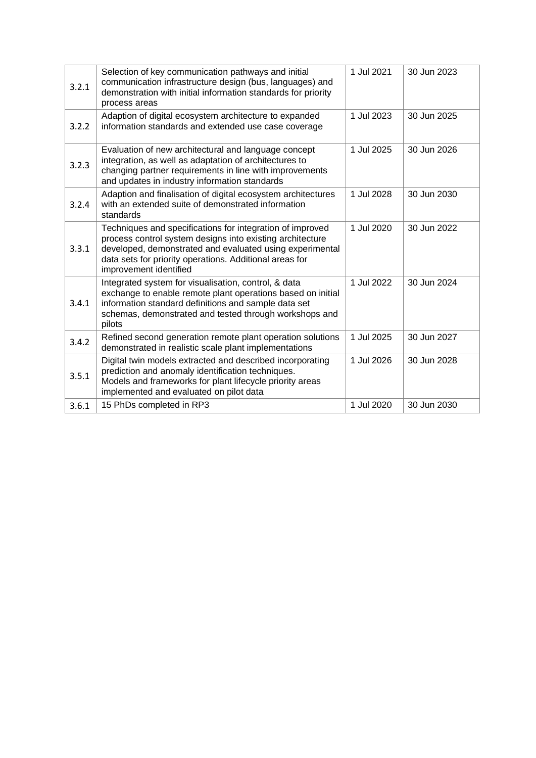| 3.2.1 | Selection of key communication pathways and initial<br>communication infrastructure design (bus, languages) and<br>demonstration with initial information standards for priority                                                                                        | 1 Jul 2021 | 30 Jun 2023 |
|-------|-------------------------------------------------------------------------------------------------------------------------------------------------------------------------------------------------------------------------------------------------------------------------|------------|-------------|
|       | process areas                                                                                                                                                                                                                                                           |            |             |
| 3.2.2 | Adaption of digital ecosystem architecture to expanded<br>information standards and extended use case coverage                                                                                                                                                          | 1 Jul 2023 | 30 Jun 2025 |
| 3.2.3 | Evaluation of new architectural and language concept<br>integration, as well as adaptation of architectures to<br>changing partner requirements in line with improvements<br>and updates in industry information standards                                              | 1 Jul 2025 | 30 Jun 2026 |
| 3.2.4 | Adaption and finalisation of digital ecosystem architectures<br>with an extended suite of demonstrated information<br>standards                                                                                                                                         | 1 Jul 2028 | 30 Jun 2030 |
| 3.3.1 | Techniques and specifications for integration of improved<br>process control system designs into existing architecture<br>developed, demonstrated and evaluated using experimental<br>data sets for priority operations. Additional areas for<br>improvement identified | 1 Jul 2020 | 30 Jun 2022 |
| 3.4.1 | Integrated system for visualisation, control, & data<br>exchange to enable remote plant operations based on initial<br>information standard definitions and sample data set<br>schemas, demonstrated and tested through workshops and<br>pilots                         | 1 Jul 2022 | 30 Jun 2024 |
| 3.4.2 | Refined second generation remote plant operation solutions<br>demonstrated in realistic scale plant implementations                                                                                                                                                     | 1 Jul 2025 | 30 Jun 2027 |
| 3.5.1 | Digital twin models extracted and described incorporating<br>prediction and anomaly identification techniques.<br>Models and frameworks for plant lifecycle priority areas<br>implemented and evaluated on pilot data                                                   | 1 Jul 2026 | 30 Jun 2028 |
| 3.6.1 | 15 PhDs completed in RP3                                                                                                                                                                                                                                                | 1 Jul 2020 | 30 Jun 2030 |